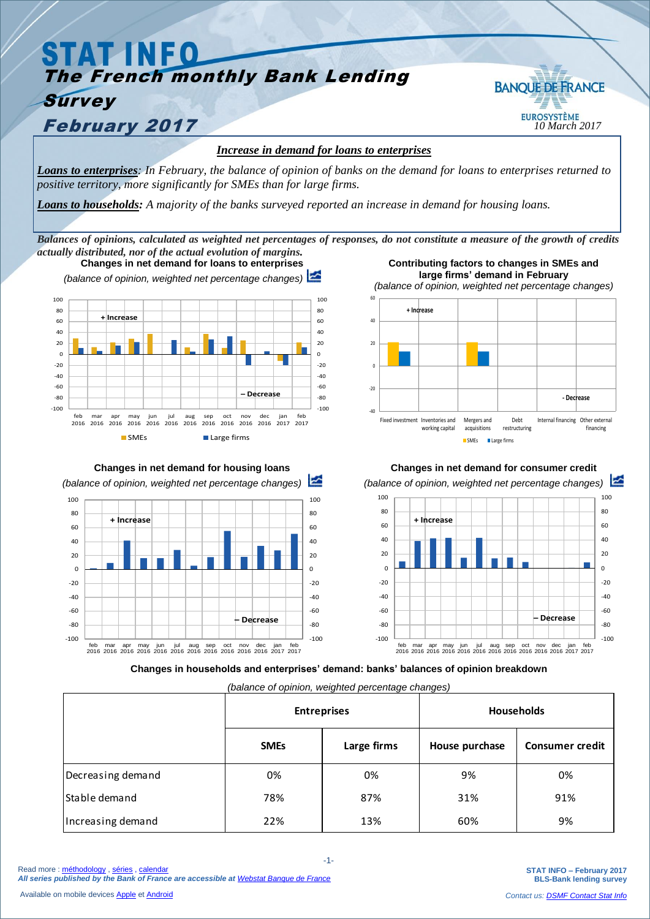## **STAT INFO** The French monthly Bank Lending **BANOUE DE FRANCE** *Survey* **February 2017** *ID March* 2017 *Increase in demand for loans to enterprises*

*Loans to enterprises: In February, the balance of opinion of banks on the demand for loans to enterprises returned to positive territory, more significantly for SMEs than for large firms.*

*Loans to households: A majority of the banks surveyed reported an increase in demand for housing loans.*

*Balances of opinions, calculated as weighted net percentages of responses, do not constitute a measure of the growth of credits actually distributed, nor of the actual evolution of margins.*



**Changes in net demand for housing loans**  *(balance of opinion, weighted net percentage changes)*  $-100$ -80 -60  $-40$  $-20$  $\overline{0}$  $20$  $40$ 60  $80$ 100 -100  $-80$ -60  $-40$  $-20$  $\Omega$ 20 40 60 80 100 feb 2016 mar 2016 apr 2016 may 2016 jun 2016 jul 2016 aug 2016 sep 2016 oct 2016 nov 2016 dec 2016 jan 2017 feb 2017 **– Decrease + Increase**

**Contributing factors to changes in SMEs and large firms' demand in February**





**Changes in households and enterprises' demand: banks' balances of opinion breakdown**

*(balance of opinion, weighted percentage changes)*

|                   | <b>Entreprises</b> |             | Households     |                        |
|-------------------|--------------------|-------------|----------------|------------------------|
|                   | <b>SMEs</b>        | Large firms | House purchase | <b>Consumer credit</b> |
| Decreasing demand | 0%                 | 0%          | 9%             | 0%                     |
| Stable demand     | 78%                | 87%         | 31%            | 91%                    |
| Increasing demand | 22%                | 13%         | 60%            | 9%                     |

Available on mobile device[s Apple](https://itunes.apple.com/fr/app/banquefrance/id663817914?mt=8) e[t Android](https://play.google.com/store/apps/details?id=fr.bdf.mobile&feature=search_result#?t=W251bGwsMSwyLDEsImZyLmJkZi5tb2JpbGUiXQ)

**STAT INFO – February 2017 BLS-Bank lending survey** *Contact us[: DSMF Contact Stat Info](mailto:1415-CONTACTSI-UT@banque-france.fr?subject=[Support%20statistique]%20BLS)*